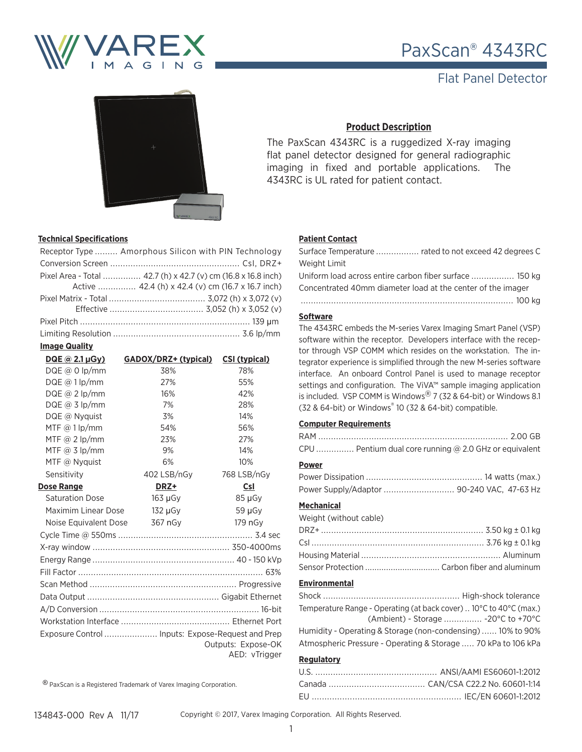

# PaxScan® 4343RC

## Flat Panel Detector



## **Product Description**

The PaxScan 4343RC is a ruggedized X-ray imaging flat panel detector designed for general radiographic imaging in fixed and portable applications. The 4343RC is UL rated for patient contact.

### **Technical Specifications**

| Receptor Type  Amorphous Silicon with PIN Technology          |
|---------------------------------------------------------------|
|                                                               |
| Pixel Area - Total  42.7 (h) x 42.7 (v) cm (16.8 x 16.8 inch) |
| Active  42.4 (h) x 42.4 (v) cm (16.7 x 16.7 inch)             |
|                                                               |
|                                                               |
|                                                               |
|                                                               |
|                                                               |

#### **Image Quality**

| DQE @ 2.1 µGy)         | GADOX/DRZ+ (typical)                              | <b>CSI (typical)</b> |
|------------------------|---------------------------------------------------|----------------------|
| $DQE @ 0$ lp/mm        | 38%                                               | 78%                  |
| DQE @ 1   p/mm         | 27%                                               | 55%                  |
| $DQE @ 2$ lp/mm        | 16%                                               | 42%                  |
| DQE $\omega$ 3 lp/mm   | 7%                                                | 28%                  |
| DQE @ Nyquist          | 3%                                                | 14%                  |
| MTF $\omega$ 1 lp/mm   | 54%                                               | 56%                  |
| MTF $\omega$ 2 lp/mm   | 23%                                               | 27%                  |
| MTF @ $3$ lp/mm        | 9%                                                | 14%                  |
| MTF $\omega$ Nyquist   | 6%                                                | 10%                  |
| Sensitivity            | 402 LSB/nGy                                       | 768 LSB/nGy          |
| <b>Dose Range</b>      | DRZ+                                              | Csl                  |
| <b>Saturation Dose</b> | $163 \mu Gy$                                      | 85 µGy               |
| Maximim Linear Dose    | 132 µGv                                           | 59 µGy               |
| Noise Equivalent Dose  | 367 nGy                                           | 179 nG <sub>v</sub>  |
|                        |                                                   |                      |
|                        |                                                   |                      |
|                        |                                                   |                      |
|                        |                                                   |                      |
|                        |                                                   |                      |
|                        |                                                   |                      |
|                        |                                                   |                      |
|                        |                                                   |                      |
|                        | Exposure Control  Inputs: Expose-Request and Prep |                      |
|                        |                                                   | Outputs: Expose-OK   |
|                        |                                                   | AED: vTrigger        |
|                        |                                                   |                      |

® PaxScan is a Registered Trademark of Varex Imaging Corporation.

## **Patient Contact**

| Weight Limit                                                |
|-------------------------------------------------------------|
| Uniform load across entire carbon fiber surface  150 kg     |
| Concentrated 40mm diameter load at the center of the imager |
|                                                             |
|                                                             |

#### **Software**

The 4343RC embeds the M-series Varex Imaging Smart Panel (VSP) software within the receptor. Developers interface with the receptor through VSP COMM which resides on the workstation. The integrator experience is simplified through the new M-series software interface. An onboard Control Panel is used to manage receptor settings and configuration. The ViVA™ sample imaging application is included. VSP COMM is Windows $\frac{1}{8}$  7 (32 & 64-bit) or Windows 8.1 (32 & 64-bit) or Windows® 10 (32 & 64-bit) compatible.

#### **Computer Requirements**

| CPU  Pentium dual core running @ 2.0 GHz or equivalent |  |
|--------------------------------------------------------|--|

#### **Power**

| Power Supply/Adaptor  90-240 VAC, 47-63 Hz |  |  |
|--------------------------------------------|--|--|

#### **Mechanical**

Weight (without cable)

| Sensor Protection  Carbon fiber and aluminum |
|----------------------------------------------|

#### **Environmental**

| Temperature Range - Operating (at back cover) 10°C to 40°C (max.) |                                                         |
|-------------------------------------------------------------------|---------------------------------------------------------|
|                                                                   | (Ambient) - Storage  -20 $\degree$ C to +70 $\degree$ C |
| Humidity - Operating & Storage (non-condensing)  10% to 90%       |                                                         |
| Atmospheric Pressure - Operating & Storage  70 kPa to 106 kPa     |                                                         |

### **Regulatory**

Copyright © 2017, Varex Imaging Corporation. All Rights Reserved.